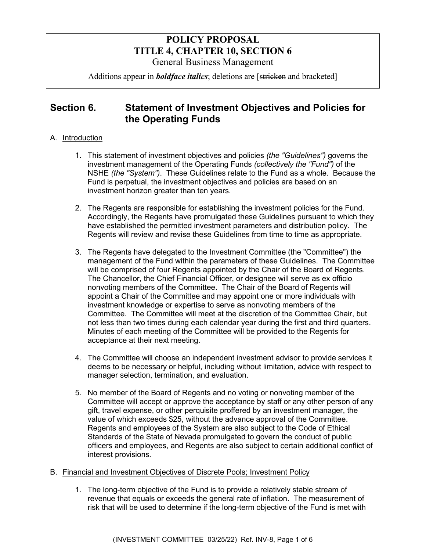## **POLICY PROPOSAL TITLE 4, CHAPTER 10, SECTION 6**  General Business Management

Additions appear in *boldface italics*; deletions are [stricken and bracketed]

# **Section 6. Statement of Investment Objectives and Policies for the Operating Funds**

### A. Introduction

- 1**.** This statement of investment objectives and policies *(the "Guidelines")* governs the investment management of the Operating Funds *(collectively the "Fund")* of the NSHE *(the "System")*. These Guidelines relate to the Fund as a whole. Because the Fund is perpetual, the investment objectives and policies are based on an investment horizon greater than ten years.
- 2. The Regents are responsible for establishing the investment policies for the Fund. Accordingly, the Regents have promulgated these Guidelines pursuant to which they have established the permitted investment parameters and distribution policy. The Regents will review and revise these Guidelines from time to time as appropriate.
- 3. The Regents have delegated to the Investment Committee (the "Committee") the management of the Fund within the parameters of these Guidelines. The Committee will be comprised of four Regents appointed by the Chair of the Board of Regents. The Chancellor, the Chief Financial Officer, or designee will serve as ex officio nonvoting members of the Committee. The Chair of the Board of Regents will appoint a Chair of the Committee and may appoint one or more individuals with investment knowledge or expertise to serve as nonvoting members of the Committee. The Committee will meet at the discretion of the Committee Chair, but not less than two times during each calendar year during the first and third quarters. Minutes of each meeting of the Committee will be provided to the Regents for acceptance at their next meeting.
- 4. The Committee will choose an independent investment advisor to provide services it deems to be necessary or helpful, including without limitation, advice with respect to manager selection, termination, and evaluation.
- 5. No member of the Board of Regents and no voting or nonvoting member of the Committee will accept or approve the acceptance by staff or any other person of any gift, travel expense, or other perquisite proffered by an investment manager, the value of which exceeds \$25, without the advance approval of the Committee. Regents and employees of the System are also subject to the Code of Ethical Standards of the State of Nevada promulgated to govern the conduct of public officers and employees, and Regents are also subject to certain additional conflict of interest provisions*.*
- B. Financial and Investment Objectives of Discrete Pools; Investment Policy
	- 1. The long-term objective of the Fund is to provide a relatively stable stream of revenue that equals or exceeds the general rate of inflation. The measurement of risk that will be used to determine if the long-term objective of the Fund is met with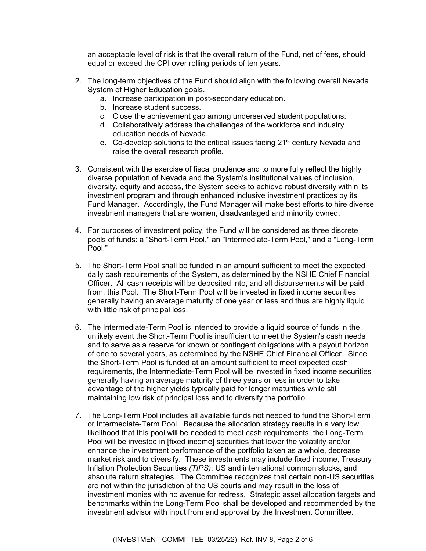an acceptable level of risk is that the overall return of the Fund, net of fees, should equal or exceed the CPI over rolling periods of ten years.

- 2. The long-term objectives of the Fund should align with the following overall Nevada System of Higher Education goals.
	- a. Increase participation in post-secondary education.
	- b. Increase student success.
	- c. Close the achievement gap among underserved student populations.
	- d. Collaboratively address the challenges of the workforce and industry education needs of Nevada.
	- e. Co-develop solutions to the critical issues facing 21<sup>st</sup> century Nevada and raise the overall research profile.
- 3. Consistent with the exercise of fiscal prudence and to more fully reflect the highly diverse population of Nevada and the System's institutional values of inclusion, diversity, equity and access, the System seeks to achieve robust diversity within its investment program and through enhanced inclusive investment practices by its Fund Manager. Accordingly, the Fund Manager will make best efforts to hire diverse investment managers that are women, disadvantaged and minority owned.
- 4. For purposes of investment policy, the Fund will be considered as three discrete pools of funds: a "Short-Term Pool," an "Intermediate-Term Pool," and a "Long-Term Pool."
- 5. The Short-Term Pool shall be funded in an amount sufficient to meet the expected daily cash requirements of the System, as determined by the NSHE Chief Financial Officer. All cash receipts will be deposited into, and all disbursements will be paid from, this Pool. The Short-Term Pool will be invested in fixed income securities generally having an average maturity of one year or less and thus are highly liquid with little risk of principal loss.
- 6. The Intermediate-Term Pool is intended to provide a liquid source of funds in the unlikely event the Short-Term Pool is insufficient to meet the System's cash needs and to serve as a reserve for known or contingent obligations with a payout horizon of one to several years, as determined by the NSHE Chief Financial Officer. Since the Short-Term Pool is funded at an amount sufficient to meet expected cash requirements, the Intermediate-Term Pool will be invested in fixed income securities generally having an average maturity of three years or less in order to take advantage of the higher yields typically paid for longer maturities while still maintaining low risk of principal loss and to diversify the portfolio.
- 7. The Long-Term Pool includes all available funds not needed to fund the Short-Term or Intermediate-Term Pool. Because the allocation strategy results in a very low likelihood that this pool will be needed to meet cash requirements, the Long-Term Pool will be invested in [fixed income] securities that lower the volatility and/or enhance the investment performance of the portfolio taken as a whole, decrease market risk and to diversify. These investments may include fixed income, Treasury Inflation Protection Securities *(TIPS)*, US and international common stocks, and absolute return strategies. The Committee recognizes that certain non-US securities are not within the jurisdiction of the US courts and may result in the loss of investment monies with no avenue for redress. Strategic asset allocation targets and benchmarks within the Long-Term Pool shall be developed and recommended by the investment advisor with input from and approval by the Investment Committee.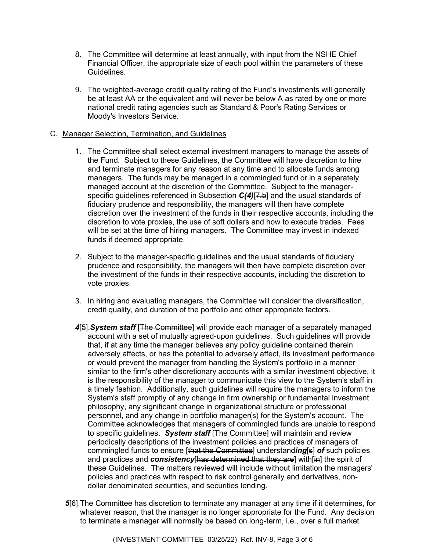- 8. The Committee will determine at least annually, with input from the NSHE Chief Financial Officer, the appropriate size of each pool within the parameters of these Guidelines.
- 9. The weighted-average credit quality rating of the Fund's investments will generally be at least AA or the equivalent and will never be below A as rated by one or more national credit rating agencies such as Standard & Poor's Rating Services or Moody's Investors Service.

#### C. Manager Selection, Termination, and Guidelines

- 1**.** The Committee shall select external investment managers to manage the assets of the Fund. Subject to these Guidelines, the Committee will have discretion to hire and terminate managers for any reason at any time and to allocate funds among managers. The funds may be managed in a commingled fund or in a separately managed account at the discretion of the Committee. Subject to the managerspecific guidelines referenced in Subsection *C(4)*[7.b] and the usual standards of fiduciary prudence and responsibility, the managers will then have complete discretion over the investment of the funds in their respective accounts, including the discretion to vote proxies, the use of soft dollars and how to execute trades. Fees will be set at the time of hiring managers. The Committee may invest in indexed funds if deemed appropriate.
- 2. Subject to the manager-specific guidelines and the usual standards of fiduciary prudence and responsibility, the managers will then have complete discretion over the investment of the funds in their respective accounts, including the discretion to vote proxies.
- 3. In hiring and evaluating managers, the Committee will consider the diversification, credit quality, and duration of the portfolio and other appropriate factors.
- 4<sup>[5]</sup>. System staff <sup>[The Committee] will provide each manager of a separately managed</sup> account with a set of mutually agreed-upon guidelines. Such guidelines will provide that, if at any time the manager believes any policy guideline contained therein adversely affects, or has the potential to adversely affect, its investment performance or would prevent the manager from handling the System's portfolio in a manner similar to the firm's other discretionary accounts with a similar investment objective, it is the responsibility of the manager to communicate this view to the System's staff in a timely fashion. Additionally, such guidelines will require the managers to inform the System's staff promptly of any change in firm ownership or fundamental investment philosophy, any significant change in organizational structure or professional personnel, and any change in portfolio manager(s) for the System's account. The Committee acknowledges that managers of commingled funds are unable to respond to specific guidelines. *System staff* [The Committee] will maintain and review periodically descriptions of the investment policies and practices of managers of commingled funds to ensure [that the Committee] understand*ing*[s] *of* such policies and practices and *consistency*[has determined that they are] with[in] the spirit of these Guidelines. The matters reviewed will include without limitation the managers' policies and practices with respect to risk control generally and derivatives, nondollar denominated securities, and securities lending.
- *5*[6].The Committee has discretion to terminate any manager at any time if it determines, for whatever reason, that the manager is no longer appropriate for the Fund. Any decision to terminate a manager will normally be based on long-term, i.e., over a full market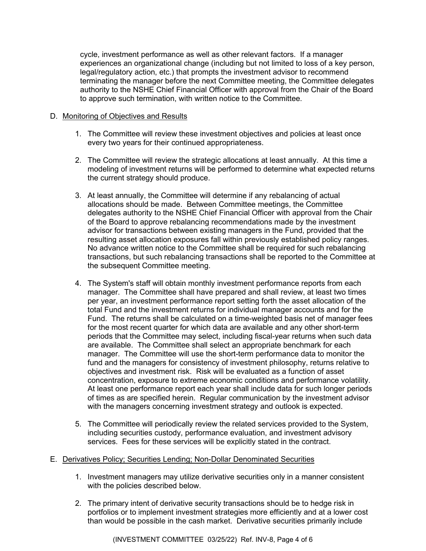cycle, investment performance as well as other relevant factors. If a manager experiences an organizational change (including but not limited to loss of a key person, legal/regulatory action, etc.) that prompts the investment advisor to recommend terminating the manager before the next Committee meeting, the Committee delegates authority to the NSHE Chief Financial Officer with approval from the Chair of the Board to approve such termination, with written notice to the Committee.

#### D. Monitoring of Objectives and Results

- 1. The Committee will review these investment objectives and policies at least once every two years for their continued appropriateness.
- 2. The Committee will review the strategic allocations at least annually. At this time a modeling of investment returns will be performed to determine what expected returns the current strategy should produce.
- 3. At least annually, the Committee will determine if any rebalancing of actual allocations should be made. Between Committee meetings, the Committee delegates authority to the NSHE Chief Financial Officer with approval from the Chair of the Board to approve rebalancing recommendations made by the investment advisor for transactions between existing managers in the Fund, provided that the resulting asset allocation exposures fall within previously established policy ranges. No advance written notice to the Committee shall be required for such rebalancing transactions, but such rebalancing transactions shall be reported to the Committee at the subsequent Committee meeting.
- 4. The System's staff will obtain monthly investment performance reports from each manager. The Committee shall have prepared and shall review, at least two times per year, an investment performance report setting forth the asset allocation of the total Fund and the investment returns for individual manager accounts and for the Fund. The returns shall be calculated on a time-weighted basis net of manager fees for the most recent quarter for which data are available and any other short-term periods that the Committee may select, including fiscal-year returns when such data are available. The Committee shall select an appropriate benchmark for each manager. The Committee will use the short-term performance data to monitor the fund and the managers for consistency of investment philosophy, returns relative to objectives and investment risk. Risk will be evaluated as a function of asset concentration, exposure to extreme economic conditions and performance volatility. At least one performance report each year shall include data for such longer periods of times as are specified herein. Regular communication by the investment advisor with the managers concerning investment strategy and outlook is expected.
- 5. The Committee will periodically review the related services provided to the System, including securities custody, performance evaluation, and investment advisory services. Fees for these services will be explicitly stated in the contract.
- E. Derivatives Policy; Securities Lending; Non-Dollar Denominated Securities
	- 1. Investment managers may utilize derivative securities only in a manner consistent with the policies described below.
	- 2. The primary intent of derivative security transactions should be to hedge risk in portfolios or to implement investment strategies more efficiently and at a lower cost than would be possible in the cash market. Derivative securities primarily include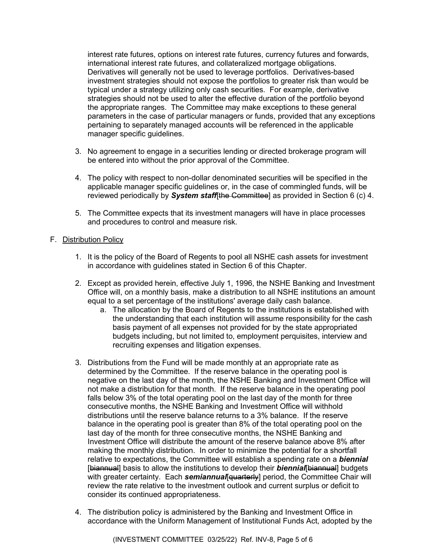interest rate futures, options on interest rate futures, currency futures and forwards, international interest rate futures, and collateralized mortgage obligations. Derivatives will generally not be used to leverage portfolios. Derivatives-based investment strategies should not expose the portfolios to greater risk than would be typical under a strategy utilizing only cash securities. For example, derivative strategies should not be used to alter the effective duration of the portfolio beyond the appropriate ranges. The Committee may make exceptions to these general parameters in the case of particular managers or funds, provided that any exceptions pertaining to separately managed accounts will be referenced in the applicable manager specific guidelines.

- 3. No agreement to engage in a securities lending or directed brokerage program will be entered into without the prior approval of the Committee.
- 4. The policy with respect to non-dollar denominated securities will be specified in the applicable manager specific guidelines or, in the case of commingled funds, will be reviewed periodically by *System staff*[the Committee] as provided in Section 6 (c) 4.
- 5. The Committee expects that its investment managers will have in place processes and procedures to control and measure risk.

#### F. Distribution Policy

- 1. It is the policy of the Board of Regents to pool all NSHE cash assets for investment in accordance with guidelines stated in Section 6 of this Chapter.
- 2. Except as provided herein, effective July 1, 1996, the NSHE Banking and Investment Office will, on a monthly basis, make a distribution to all NSHE institutions an amount equal to a set percentage of the institutions' average daily cash balance.
	- a. The allocation by the Board of Regents to the institutions is established with the understanding that each institution will assume responsibility for the cash basis payment of all expenses not provided for by the state appropriated budgets including, but not limited to, employment perquisites, interview and recruiting expenses and litigation expenses.
- 3. Distributions from the Fund will be made monthly at an appropriate rate as determined by the Committee. If the reserve balance in the operating pool is negative on the last day of the month, the NSHE Banking and Investment Office will not make a distribution for that month. If the reserve balance in the operating pool falls below 3% of the total operating pool on the last day of the month for three consecutive months, the NSHE Banking and Investment Office will withhold distributions until the reserve balance returns to a 3% balance. If the reserve balance in the operating pool is greater than 8% of the total operating pool on the last day of the month for three consecutive months, the NSHE Banking and Investment Office will distribute the amount of the reserve balance above 8% after making the monthly distribution. In order to minimize the potential for a shortfall relative to expectations, the Committee will establish a spending rate on a *biennial*  [biannual] basis to allow the institutions to develop their **biennial**[biannual] budgets with greater certainty. Each **semiannual**[quarterly] period, the Committee Chair will review the rate relative to the investment outlook and current surplus or deficit to consider its continued appropriateness.
- 4. The distribution policy is administered by the Banking and Investment Office in accordance with the Uniform Management of Institutional Funds Act, adopted by the